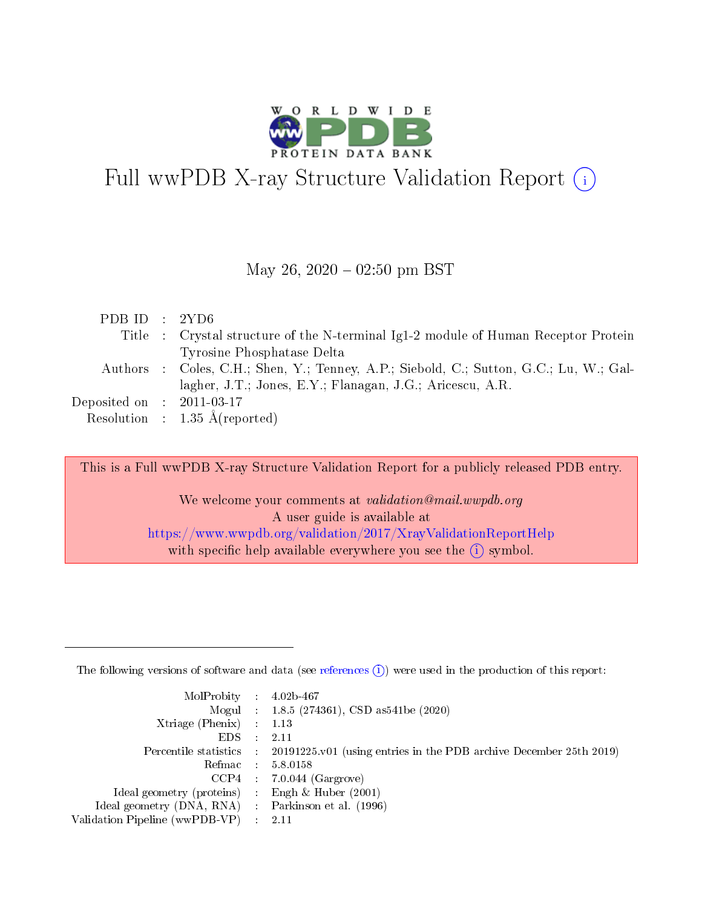

# Full wwPDB X-ray Structure Validation Report  $(i)$

#### May 26,  $2020 - 02:50$  pm BST

| PDB ID : $2YD6$                      |                                                                                        |
|--------------------------------------|----------------------------------------------------------------------------------------|
|                                      | Title : Crystal structure of the N-terminal Ig1-2 module of Human Receptor Protein     |
|                                      | Tyrosine Phosphatase Delta                                                             |
|                                      | Authors : Coles, C.H.; Shen, Y.; Tenney, A.P.; Siebold, C.; Sutton, G.C.; Lu, W.; Gal- |
|                                      | lagher, J.T.; Jones, E.Y.; Flanagan, J.G.; Aricescu, A.R.                              |
| Deposited on $\therefore$ 2011-03-17 |                                                                                        |
|                                      | Resolution : $1.35 \text{ Å}$ (reported)                                               |

This is a Full wwPDB X-ray Structure Validation Report for a publicly released PDB entry.

We welcome your comments at validation@mail.wwpdb.org A user guide is available at <https://www.wwpdb.org/validation/2017/XrayValidationReportHelp> with specific help available everywhere you see the  $(i)$  symbol.

The following versions of software and data (see [references](https://www.wwpdb.org/validation/2017/XrayValidationReportHelp#references)  $(1)$ ) were used in the production of this report:

| $MolProbability$ : 4.02b-467                       |               |                                                                                            |
|----------------------------------------------------|---------------|--------------------------------------------------------------------------------------------|
|                                                    |               | Mogul : $1.8.5$ (274361), CSD as 541be (2020)                                              |
| Xtriage (Phenix) $: 1.13$                          |               |                                                                                            |
| EDS.                                               | $\mathcal{L}$ | -2.11                                                                                      |
|                                                    |               | Percentile statistics : 20191225.v01 (using entries in the PDB archive December 25th 2019) |
|                                                    |               | Refmac : 5.8.0158                                                                          |
|                                                    |               | $CCP4$ 7.0.044 (Gargrove)                                                                  |
| Ideal geometry (proteins) : Engh $\&$ Huber (2001) |               |                                                                                            |
| Ideal geometry (DNA, RNA) Parkinson et al. (1996)  |               |                                                                                            |
| Validation Pipeline (wwPDB-VP) : 2.11              |               |                                                                                            |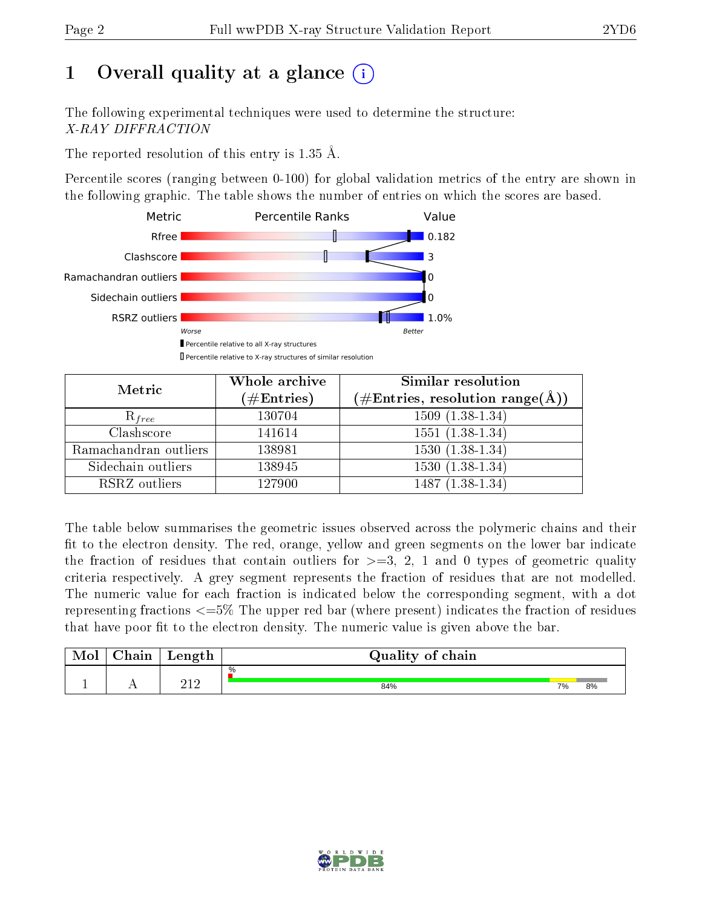# 1 [O](https://www.wwpdb.org/validation/2017/XrayValidationReportHelp#overall_quality)verall quality at a glance  $(i)$

The following experimental techniques were used to determine the structure: X-RAY DIFFRACTION

The reported resolution of this entry is 1.35 Å.

Percentile scores (ranging between 0-100) for global validation metrics of the entry are shown in the following graphic. The table shows the number of entries on which the scores are based.



| Metric                | Whole archive<br>$(\#\text{Entries})$ | Similar resolution<br>$(\#\text{Entries},\,\text{resolution}\,\,\text{range}(\textup{\AA}))$ |  |  |
|-----------------------|---------------------------------------|----------------------------------------------------------------------------------------------|--|--|
| $R_{free}$            | 130704                                | $1509(1.38-1.34)$                                                                            |  |  |
| Clashscore            | 141614                                | $1551(1.38-1.34)$                                                                            |  |  |
| Ramachandran outliers | 138981                                | $\overline{1530}$ $(1.38-1.34)$                                                              |  |  |
| Sidechain outliers    | 138945                                | $1530(1.38-1.34)$                                                                            |  |  |
| RSRZ outliers         | 127900                                | $1487(1.38-1.34)$                                                                            |  |  |

The table below summarises the geometric issues observed across the polymeric chains and their fit to the electron density. The red, orange, yellow and green segments on the lower bar indicate the fraction of residues that contain outliers for  $>=3, 2, 1$  and 0 types of geometric quality criteria respectively. A grey segment represents the fraction of residues that are not modelled. The numeric value for each fraction is indicated below the corresponding segment, with a dot representing fractions  $\epsilon=5\%$  The upper red bar (where present) indicates the fraction of residues that have poor fit to the electron density. The numeric value is given above the bar.

| Mol       | $\sim$ $\sim$<br>hain | Length | Quality of chain |    |    |  |  |  |  |
|-----------|-----------------------|--------|------------------|----|----|--|--|--|--|
|           |                       | ດ1 ດ   | %                |    |    |  |  |  |  |
| <u>д.</u> | . .                   | 414    | 84%              | 7% | 8% |  |  |  |  |

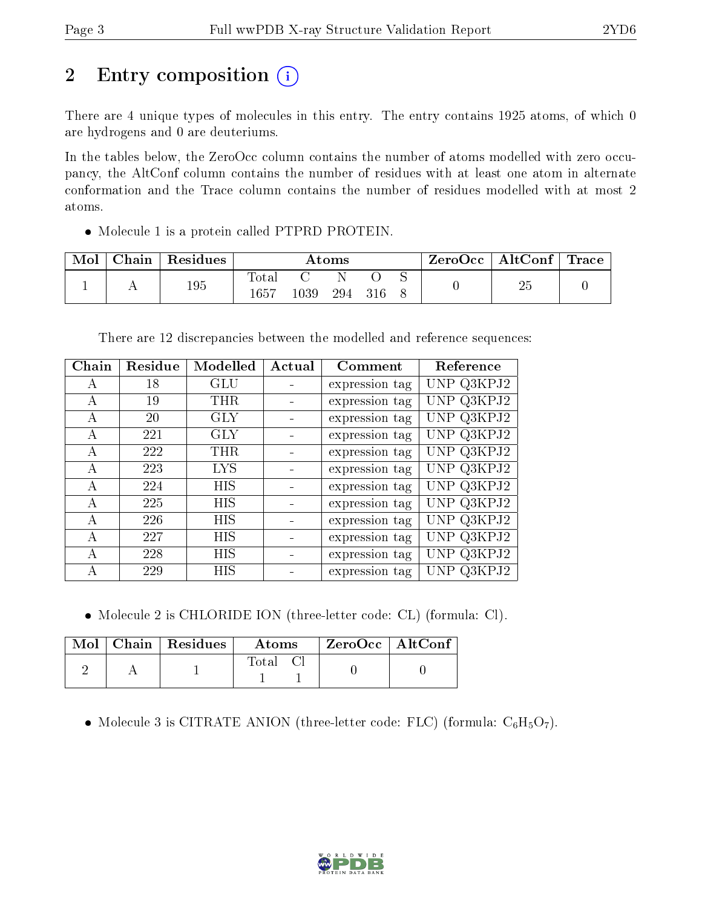# 2 Entry composition (i)

There are 4 unique types of molecules in this entry. The entry contains 1925 atoms, of which 0 are hydrogens and 0 are deuteriums.

In the tables below, the ZeroOcc column contains the number of atoms modelled with zero occupancy, the AltConf column contains the number of residues with at least one atom in alternate conformation and the Trace column contains the number of residues modelled with at most 2 atoms.

Molecule 1 is a protein called PTPRD PROTEIN.

| Mol | Chain | Residues | $\rm{Atoms}$ |          |  |         | $\text{ZeroOcc}$   AltConf   Trace |  |    |  |
|-----|-------|----------|--------------|----------|--|---------|------------------------------------|--|----|--|
|     |       |          | <b>Total</b> |          |  |         |                                    |  |    |  |
|     |       | 195      | $1657\,$     | $1039\,$ |  | 294 316 |                                    |  | 25 |  |

There are 12 discrepancies between the modelled and reference sequences:

| Chain | Residue | Modelled   | Actual | Comment        | Reference       |
|-------|---------|------------|--------|----------------|-----------------|
| А     | 18      | GLU        |        | expression tag | UNP Q3KPJ2      |
| A     | 19      | <b>THR</b> |        | expression tag | UNP Q3KPJ2      |
| А     | 20      | <b>GLY</b> |        | expression tag | UNP Q3KPJ2      |
| А     | 221     | <b>GLY</b> |        | expression tag | UNP Q3KPJ2      |
| A     | 222     | <b>THR</b> |        | expression tag | UNP Q3KPJ2      |
| А     | 223     | LYS        |        | expression tag | UNP Q3KPJ2      |
| А     | 224     | HIS        |        | expression tag | UNP Q3KPJ2      |
| A     | 225     | HIS        |        | expression tag | UNP Q3KPJ2      |
| А     | 226     | <b>HIS</b> |        | expression tag | UNP Q3KPJ2      |
| A     | 227     | <b>HIS</b> |        | expression tag | UNP Q3KPJ2      |
| А     | 228     | HIS        |        | expression tag | UNP Q3KPJ2      |
| А     | 229     | HIS        |        | expression tag | Q3KP J2<br>UNP. |

Molecule 2 is CHLORIDE ION (three-letter code: CL) (formula: Cl).

|  | $\text{Mol}$   Chain   Residues | Atoms | ZeroOcc   AltConf |  |
|--|---------------------------------|-------|-------------------|--|
|  |                                 | Total |                   |  |

• Molecule 3 is CITRATE ANION (three-letter code: FLC) (formula:  $C_6H_5O_7$ ).

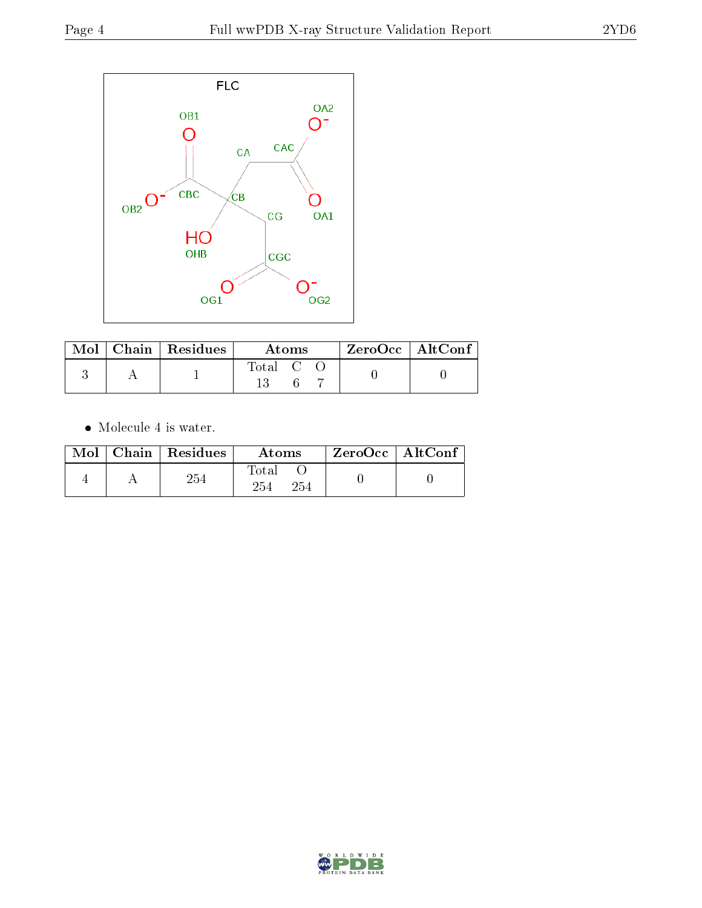

|  | $\text{Mol}$   Chain   Residues | Atoms   |  |  | $\rm ZeroOcc \mid AltConf$ |  |
|--|---------------------------------|---------|--|--|----------------------------|--|
|  |                                 | Total C |  |  |                            |  |

 $\bullet\,$  Molecule 4 is water.

| Mol | $\mid$ Chain $\mid$ Residues | Atoms                     | $\rm ZeroOcc$   Alt $\rm Conf$ |  |
|-----|------------------------------|---------------------------|--------------------------------|--|
|     | 254                          | $\rm Total$<br>254<br>254 |                                |  |

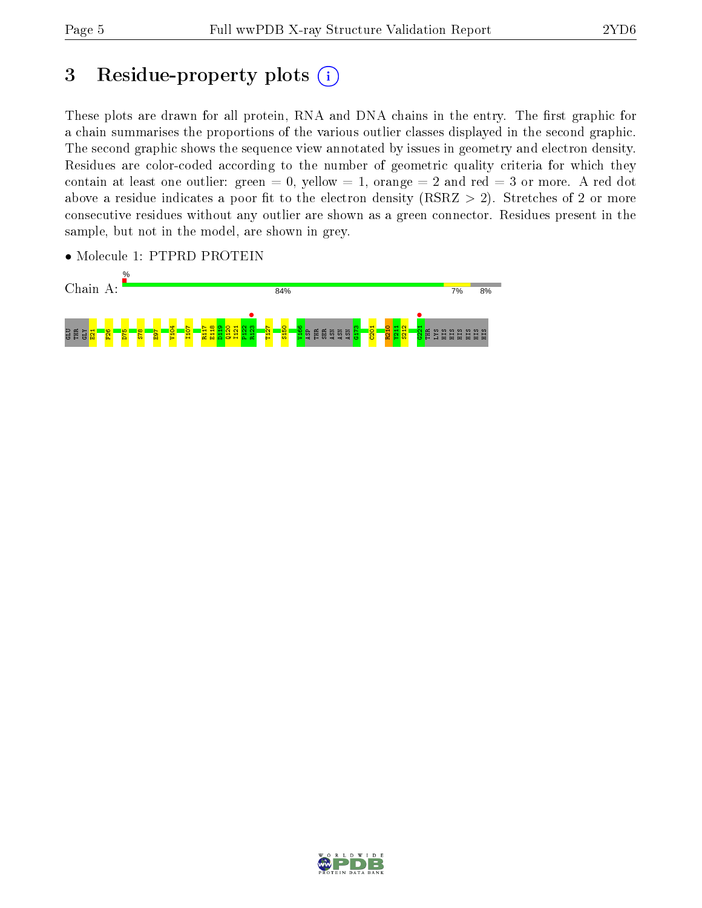# 3 Residue-property plots  $(i)$

These plots are drawn for all protein, RNA and DNA chains in the entry. The first graphic for a chain summarises the proportions of the various outlier classes displayed in the second graphic. The second graphic shows the sequence view annotated by issues in geometry and electron density. Residues are color-coded according to the number of geometric quality criteria for which they contain at least one outlier: green  $= 0$ , yellow  $= 1$ , orange  $= 2$  and red  $= 3$  or more. A red dot above a residue indicates a poor fit to the electron density (RSRZ  $> 2$ ). Stretches of 2 or more consecutive residues without any outlier are shown as a green connector. Residues present in the sample, but not in the model, are shown in grey.

• Molecule 1: PTPRD PROTEIN



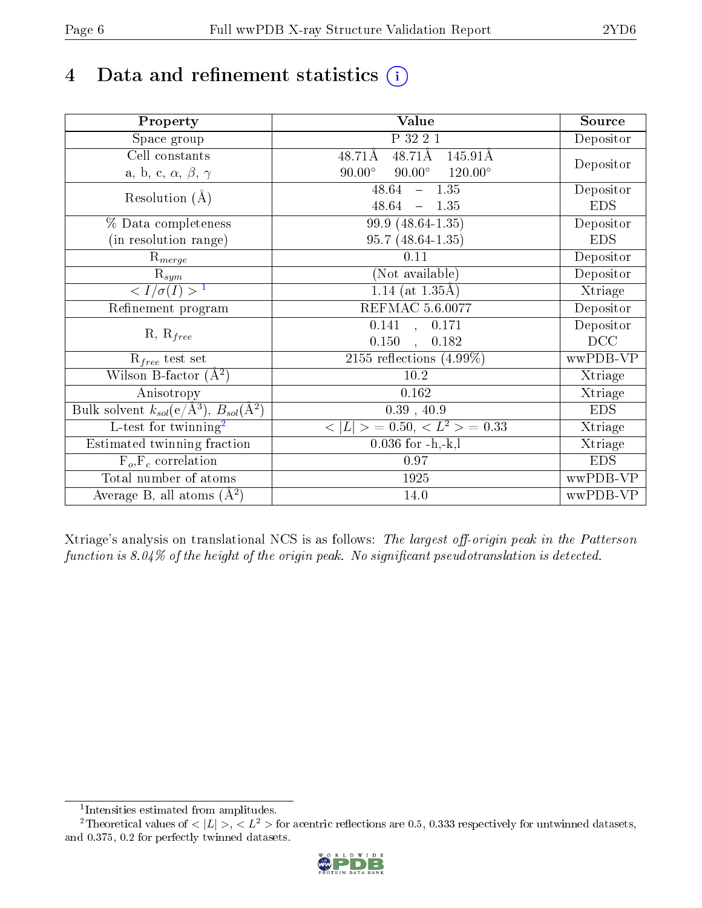## 4 Data and refinement statistics  $(i)$

| Property                                                             | Value                                              | Source     |
|----------------------------------------------------------------------|----------------------------------------------------|------------|
| Space group                                                          | P 32 2 1                                           | Depositor  |
| Cell constants                                                       | $48.71\text{\AA}$<br>48.71Å<br>145.91Å             |            |
| a, b, c, $\alpha$ , $\beta$ , $\gamma$                               | $90.00^\circ$<br>$120.00^{\circ}$<br>$90.00^\circ$ | Depositor  |
| Resolution $(A)$                                                     | $-1.35$<br>48.64                                   | Depositor  |
|                                                                      | 48.64<br>$-1.35$                                   | <b>EDS</b> |
| % Data completeness                                                  | 99.9 (48.64-1.35)                                  | Depositor  |
| (in resolution range)                                                | $95.7(48.64-1.35)$                                 | <b>EDS</b> |
| $\mathrm{R}_{merge}$                                                 | 0.11                                               | Depositor  |
| $\mathrm{R}_{sym}$                                                   | (Not available)                                    | Depositor  |
| $\sqrt{I/\sigma(I)} > 1$                                             | $1.14$ (at 1.35Å)                                  | Xtriage    |
| Refinement program                                                   | <b>REFMAC 5.6.0077</b>                             | Depositor  |
|                                                                      | 0.141, 0.171                                       | Depositor  |
| $R, R_{free}$                                                        | 0.150<br>0.182<br>$\mathbf{A}$                     | DCC        |
| $R_{free}$ test set                                                  | $\overline{2155}$ reflections $(4.99\%)$           | wwPDB-VP   |
| Wilson B-factor $(A^2)$                                              | 10.2                                               | Xtriage    |
| Anisotropy                                                           | 0.162                                              | Xtriage    |
| Bulk solvent $k_{sol}(e/\mathring{A}^3)$ , $B_{sol}(\mathring{A}^2)$ | $0.39$ , $40.9$                                    | <b>EDS</b> |
| $\overline{L-test for}$ twinning <sup>2</sup>                        | $< L >$ = 0.50, $< L2$ > = 0.33                    | Xtriage    |
| Estimated twinning fraction                                          | $0.036$ for $-h,-k,l$                              | Xtriage    |
| $F_o, F_c$ correlation                                               | 0.97                                               | <b>EDS</b> |
| Total number of atoms                                                | 1925                                               | wwPDB-VP   |
| Average B, all atoms $(A^2)$                                         | 14.0                                               | wwPDB-VP   |

Xtriage's analysis on translational NCS is as follows: The largest off-origin peak in the Patterson function is  $8.04\%$  of the height of the origin peak. No significant pseudotranslation is detected.

<sup>&</sup>lt;sup>2</sup>Theoretical values of  $\langle |L| \rangle$ ,  $\langle L^2 \rangle$  for acentric reflections are 0.5, 0.333 respectively for untwinned datasets, and 0.375, 0.2 for perfectly twinned datasets.



<span id="page-5-1"></span><span id="page-5-0"></span><sup>1</sup> Intensities estimated from amplitudes.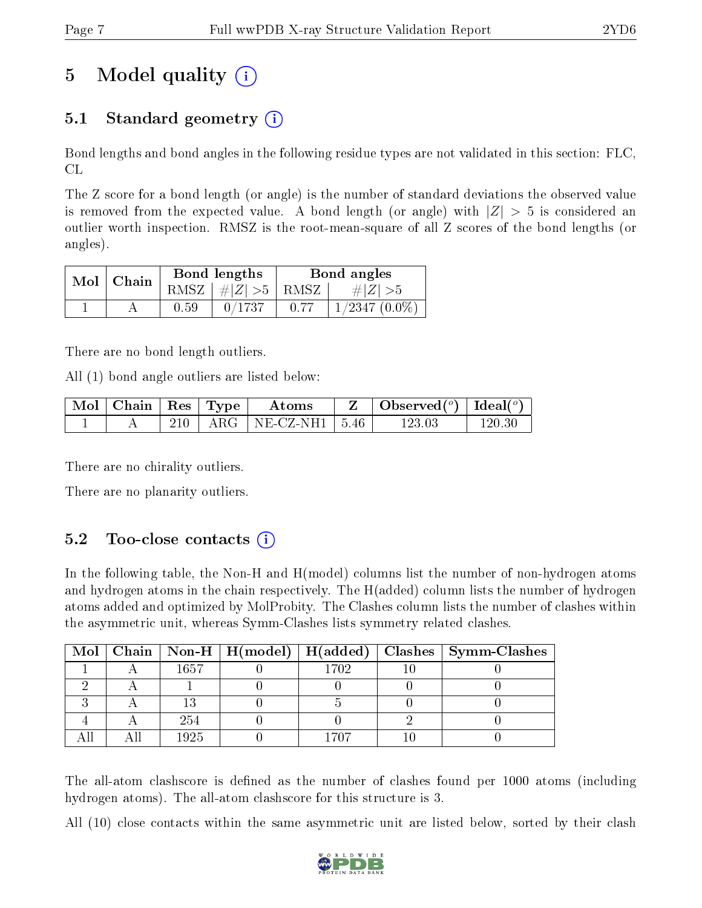# 5 Model quality  $(i)$

## 5.1 Standard geometry  $(i)$

Bond lengths and bond angles in the following residue types are not validated in this section: FLC, CL

The Z score for a bond length (or angle) is the number of standard deviations the observed value is removed from the expected value. A bond length (or angle) with  $|Z| > 5$  is considered an outlier worth inspection. RMSZ is the root-mean-square of all Z scores of the bond lengths (or angles).

| $Mol$   Chain |      | Bond lengths                   | Bond angles |                   |  |
|---------------|------|--------------------------------|-------------|-------------------|--|
|               |      | RMSZ $\mid \#Z \mid >5$   RMSZ |             | $\# Z  > 5$       |  |
|               | 0.59 | 0/1737                         | 0.77        | $1/2347$ $(0.0\%$ |  |

There are no bond length outliers.

All (1) bond angle outliers are listed below:

| $\parallel$ Mol $\parallel$ Chain $\parallel$ Res $\parallel$ Type $\parallel$ |     | Atoms                          | $\vert$ Observed $(^\circ)$ $\vert$ Ideal $(^\circ)$ |        |
|--------------------------------------------------------------------------------|-----|--------------------------------|------------------------------------------------------|--------|
|                                                                                | 210 | $+$ ARG $+$ NE-CZ-NH1 $+$ 5.46 | $123.03\,$                                           | 120 30 |

There are no chirality outliers.

There are no planarity outliers.

### $5.2$  Too-close contacts  $(i)$

In the following table, the Non-H and H(model) columns list the number of non-hydrogen atoms and hydrogen atoms in the chain respectively. The H(added) column lists the number of hydrogen atoms added and optimized by MolProbity. The Clashes column lists the number of clashes within the asymmetric unit, whereas Symm-Clashes lists symmetry related clashes.

|  |      |      | Mol   Chain   Non-H   H(model)   H(added)   Clashes   Symm-Clashes |
|--|------|------|--------------------------------------------------------------------|
|  | 1657 | 1702 |                                                                    |
|  |      |      |                                                                    |
|  |      |      |                                                                    |
|  | 254  |      |                                                                    |
|  | 1925 | 1707 |                                                                    |

The all-atom clashscore is defined as the number of clashes found per 1000 atoms (including hydrogen atoms). The all-atom clashscore for this structure is 3.

All (10) close contacts within the same asymmetric unit are listed below, sorted by their clash

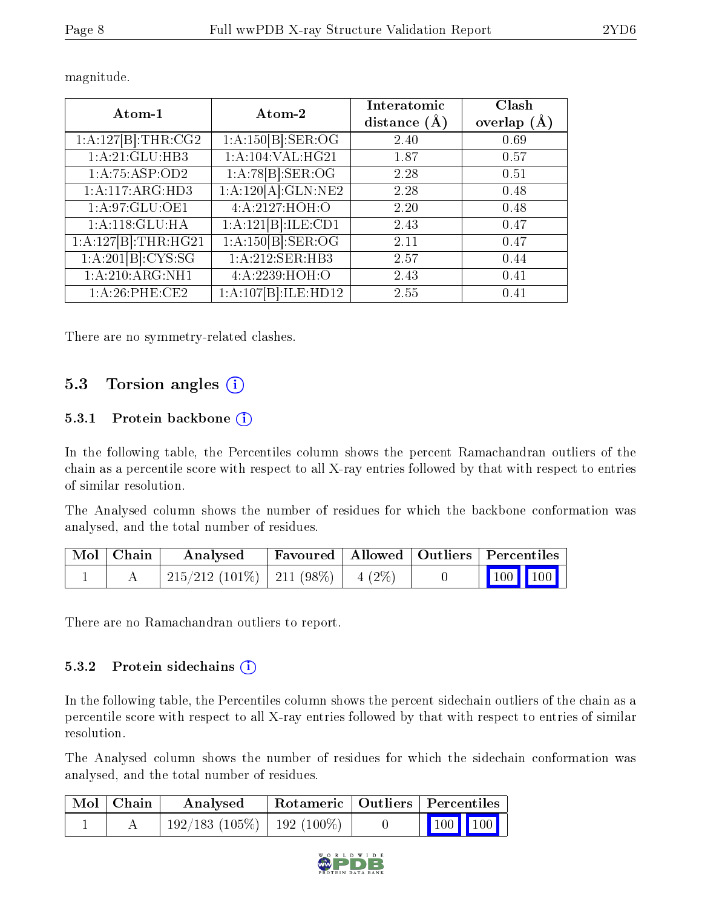| Atom-1              | Atom-2                    | Interatomic<br>distance $(\AA)$ | Clash<br>overlap $(A)$ |
|---------------------|---------------------------|---------------------------------|------------------------|
| 1:A:127[B]:THR:CG2  | 1:A:150[B]:SER:OG         | 2.40                            | 0.69                   |
| 1:A:21:GLU:HB3      | 1:A:104:VAL:HG21          | 1.87                            | 0.57                   |
| 1: A:75:ASP:OD2     | 1:A:78[B]:SER:OG          | 2.28                            | 0.51                   |
| 1:A:117:ARG:HD3     | 1:A:120[A]:GLN:NE2        | 2.28                            | 0.48                   |
| 1:A:97:GLU:OE1      | 4: A:2127:HOH:O           | 2.20                            | 0.48                   |
| 1:A:118:GLU:HA      | 1:A:121[B]:ILE:CD1        | 2.43                            | 0.47                   |
| 1:A:127[B]:THR:HG21 | 1:A:150[B]: <b>SER:OG</b> | 2.11                            | 0.47                   |
| 1:A:201[B]:CYS:SG   | 1:A:212:SER:HB3           | 2.57                            | 0.44                   |
| 1: A:210:ARG:NH1    | 4:A:2239:HOH:O            | 2.43                            | 0.41                   |
| 1:A:26:PHE:CE2      | 1:A:107[B]:ILE:HD12       | 2.55                            | 0.41                   |

magnitude.

There are no symmetry-related clashes.

### 5.3 Torsion angles (i)

#### 5.3.1 Protein backbone (i)

In the following table, the Percentiles column shows the percent Ramachandran outliers of the chain as a percentile score with respect to all X-ray entries followed by that with respect to entries of similar resolution.

The Analysed column shows the number of residues for which the backbone conformation was analysed, and the total number of residues.

| Mol   Chain | $\boldsymbol{\mathrm{Analysed}}$         | Favoured   Allowed   Outliers   Percentiles |  |                                                            |  |
|-------------|------------------------------------------|---------------------------------------------|--|------------------------------------------------------------|--|
|             | $215/212$ (101\%)   211 (98\%)   4 (2\%) |                                             |  | $\begin{array}{ c c c c }\n\hline\n100 & 100\n\end{array}$ |  |

There are no Ramachandran outliers to report.

#### 5.3.2 Protein sidechains  $(i)$

In the following table, the Percentiles column shows the percent sidechain outliers of the chain as a percentile score with respect to all X-ray entries followed by that with respect to entries of similar resolution.

The Analysed column shows the number of residues for which the sidechain conformation was analysed, and the total number of residues.

| Mol   Chain | Analysed                         | Rotameric   Outliers   Percentiles |  |                 |  |  |
|-------------|----------------------------------|------------------------------------|--|-----------------|--|--|
|             | $192/183(105\%)$   192 $(100\%)$ |                                    |  | $\vert$ 100 100 |  |  |

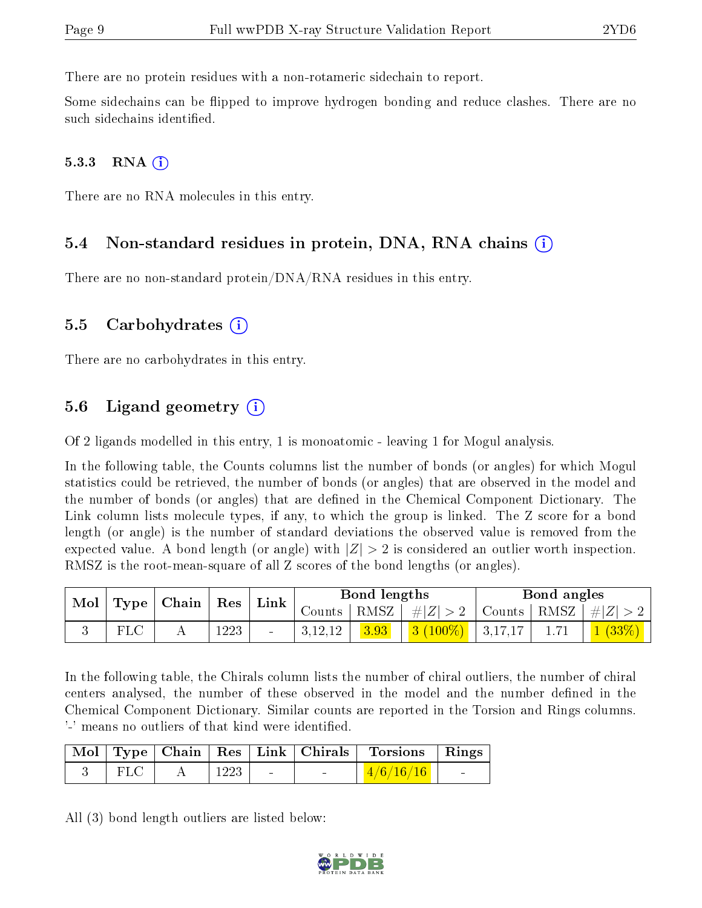There are no protein residues with a non-rotameric sidechain to report.

Some sidechains can be flipped to improve hydrogen bonding and reduce clashes. There are no such sidechains identified.

#### $5.3.3$  RNA  $(i)$

There are no RNA molecules in this entry.

#### 5.4 Non-standard residues in protein, DNA, RNA chains (i)

There are no non-standard protein/DNA/RNA residues in this entry.

#### 5.5 Carbohydrates (i)

There are no carbohydrates in this entry.

### 5.6 Ligand geometry  $(i)$

Of 2 ligands modelled in this entry, 1 is monoatomic - leaving 1 for Mogul analysis.

In the following table, the Counts columns list the number of bonds (or angles) for which Mogul statistics could be retrieved, the number of bonds (or angles) that are observed in the model and the number of bonds (or angles) that are defined in the Chemical Component Dictionary. The Link column lists molecule types, if any, to which the group is linked. The Z score for a bond length (or angle) is the number of standard deviations the observed value is removed from the expected value. A bond length (or angle) with  $|Z| > 2$  is considered an outlier worth inspection. RMSZ is the root-mean-square of all Z scores of the bond lengths (or angles).

| $\mathbf{Mol}_{\perp}$ |              | $\perp$ Type   Chain   Res |      | Link                     | Bond lengths |      |                                                                   | Bond angles |      |                       |
|------------------------|--------------|----------------------------|------|--------------------------|--------------|------|-------------------------------------------------------------------|-------------|------|-----------------------|
|                        |              |                            |      |                          |              |      | Counts   RMSZ $\mid \#  Z  > 2$   Counts   RMSZ $\mid \#  Z  > 2$ |             |      |                       |
|                        | $_{\rm FLC}$ |                            | 1223 | $\overline{\phantom{a}}$ | 3,12,12      | 3.93 | $\vert 3(100\%) \vert 3,17,17 \vert$                              |             | 1.71 | $\mid$ 1 (33%) $\mid$ |

In the following table, the Chirals column lists the number of chiral outliers, the number of chiral centers analysed, the number of these observed in the model and the number defined in the Chemical Component Dictionary. Similar counts are reported in the Torsion and Rings columns. '-' means no outliers of that kind were identified.

|       |        |                          | Mol   Type   Chain   Res   Link   Chirals   Torsions   Rings |                          |
|-------|--------|--------------------------|--------------------------------------------------------------|--------------------------|
| $FLC$ | $1223$ | <b>Contract Contract</b> | $\mid$ 4/6/16/16 $\mid$                                      | <b>Contract Contract</b> |

All (3) bond length outliers are listed below:

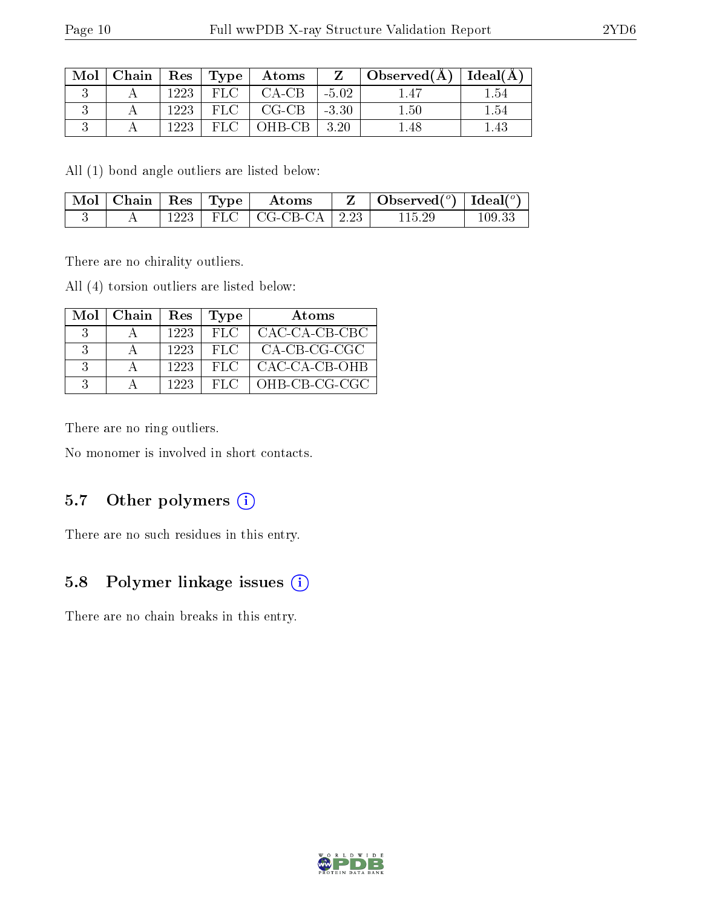| Mol |      |       | $\vert$ Chain $\vert$ Res $\vert$ Type $\vert$ Atoms | $\mathbf{Z}$ | $\mid$ Observed( $\AA$ ) $\mid$ Ideal( $\AA$ ) $\mid$ |      |
|-----|------|-------|------------------------------------------------------|--------------|-------------------------------------------------------|------|
|     | 1223 | FLC - | CA-CB                                                | $-5.02$      |                                                       | - 54 |
|     | 1223 | FLC   | $CG-CB$                                              | $-3.30$      | 1.50                                                  | ' 54 |
|     | 1223 | FLC   | ' OHB-CB                                             | - 3.20       | -48                                                   | .43  |

All (1) bond angle outliers are listed below:

| $\sqrt{\text{Mol}}$   Chain   Res   Type |      |     | Atoms                         | Observed( $^o$ )   Ideal( $^o$ ) |        |
|------------------------------------------|------|-----|-------------------------------|----------------------------------|--------|
|                                          | 1223 | FLC | $\vert$ CG-CB-CA $\vert$ 2.23 | $115.29\,$                       | 109.33 |

There are no chirality outliers.

All (4) torsion outliers are listed below:

| Mol | $\mid$ Chain | Res  | Type | Atoms         |
|-----|--------------|------|------|---------------|
|     |              | 1223 | FLC  | CAC-CA-CB-CBC |
|     |              | 1223 | FLC. | CA-CB-CG-CGC  |
| 3   |              | 1223 | FLC. | CAC-CA-CB-OHB |
|     |              | 1223 | FLC. | OHB-CB-CG-CGC |

There are no ring outliers.

No monomer is involved in short contacts.

## 5.7 [O](https://www.wwpdb.org/validation/2017/XrayValidationReportHelp#nonstandard_residues_and_ligands)ther polymers (i)

There are no such residues in this entry.

## 5.8 Polymer linkage issues (i)

There are no chain breaks in this entry.

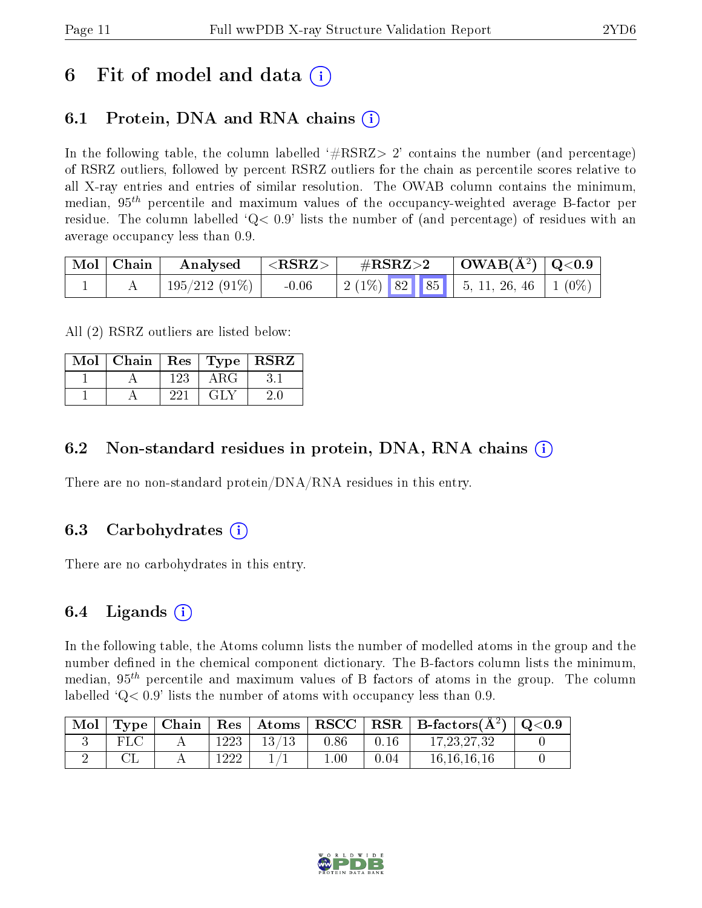## 6 Fit of model and data  $\circ$

## 6.1 Protein, DNA and RNA chains (i)

In the following table, the column labelled  $#RSRZ>2'$  contains the number (and percentage) of RSRZ outliers, followed by percent RSRZ outliers for the chain as percentile scores relative to all X-ray entries and entries of similar resolution. The OWAB column contains the minimum, median,  $95<sup>th</sup>$  percentile and maximum values of the occupancy-weighted average B-factor per residue. The column labelled  $Q< 0.9$  lists the number of (and percentage) of residues with an average occupancy less than 0.9.

| $\mid$ Mol $\mid$ Chain | Analysed        | $<$ RSRZ $>$ | $\#\text{RSRZ}\text{>2}$                 | $\mid$ OWAB(Å <sup>2</sup> ) $\mid$ Q<0.9 $\mid$ |  |
|-------------------------|-----------------|--------------|------------------------------------------|--------------------------------------------------|--|
|                         | $195/212(91\%)$ | $-0.06$      | $\mid$ 2 (1%) 82 85 5, 11, 26, 46 1 (0%) |                                                  |  |

All (2) RSRZ outliers are listed below:

| Mol | Chain | $\mid$ Res |                                                   | $\pm {\rm Type \,} \mid {\rm \overline{RSRZ}} \rangle$ |
|-----|-------|------------|---------------------------------------------------|--------------------------------------------------------|
|     |       | 123        | ARG                                               |                                                        |
|     |       | 221        | $\lceil \cdot \cdot \rceil$ $\lceil \cdot \rceil$ |                                                        |

### 6.2 Non-standard residues in protein, DNA, RNA chains  $(i)$

There are no non-standard protein/DNA/RNA residues in this entry.

### 6.3 Carbohydrates (i)

There are no carbohydrates in this entry.

### 6.4 Ligands  $(i)$

In the following table, the Atoms column lists the number of modelled atoms in the group and the number defined in the chemical component dictionary. The B-factors column lists the minimum, median,  $95<sup>th</sup>$  percentile and maximum values of B factors of atoms in the group. The column labelled  $Q < 0.9$  lists the number of atoms with occupancy less than 0.9.

| $^+$ Mol $\,$ |  |      |       |          |      | Type   Chain   Res   Atoms   RSCC   RSR   B-factors $(A^2)$   Q<0.9 |  |
|---------------|--|------|-------|----------|------|---------------------------------------------------------------------|--|
|               |  | 1223 | 13/13 | 0.86     | 0.16 | 17, 23, 27, 32                                                      |  |
|               |  | 1222 |       | $1.00\,$ | 0.04 | 16, 16, 16, 16                                                      |  |